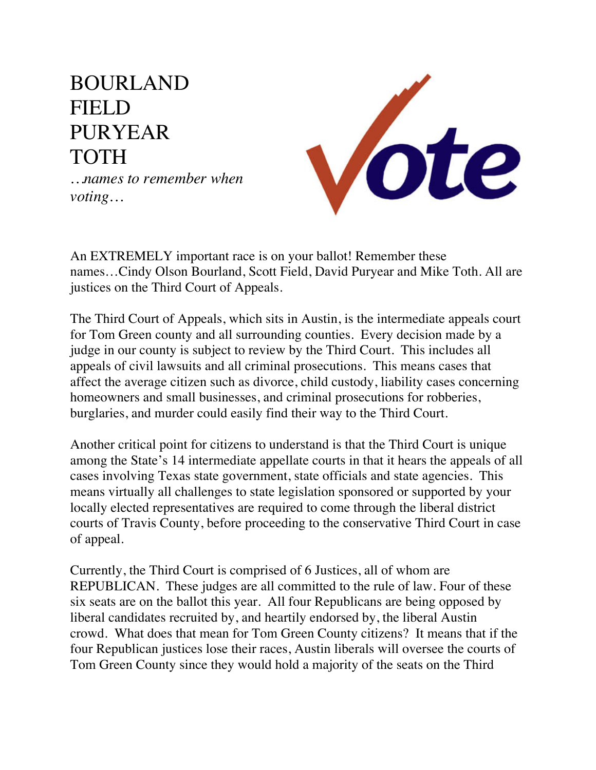## BOURLAND FIELD PURYEAR TOTH



*…names to remember when voting…*

An EXTREMELY important race is on your ballot! Remember these names…Cindy Olson Bourland, Scott Field, David Puryear and Mike Toth. All are justices on the Third Court of Appeals.

The Third Court of Appeals, which sits in Austin, is the intermediate appeals court for Tom Green county and all surrounding counties. Every decision made by a judge in our county is subject to review by the Third Court. This includes all appeals of civil lawsuits and all criminal prosecutions. This means cases that affect the average citizen such as divorce, child custody, liability cases concerning homeowners and small businesses, and criminal prosecutions for robberies, burglaries, and murder could easily find their way to the Third Court.

Another critical point for citizens to understand is that the Third Court is unique among the State's 14 intermediate appellate courts in that it hears the appeals of all cases involving Texas state government, state officials and state agencies. This means virtually all challenges to state legislation sponsored or supported by your locally elected representatives are required to come through the liberal district courts of Travis County, before proceeding to the conservative Third Court in case of appeal.

Currently, the Third Court is comprised of 6 Justices, all of whom are REPUBLICAN. These judges are all committed to the rule of law. Four of these six seats are on the ballot this year. All four Republicans are being opposed by liberal candidates recruited by, and heartily endorsed by, the liberal Austin crowd. What does that mean for Tom Green County citizens? It means that if the four Republican justices lose their races, Austin liberals will oversee the courts of Tom Green County since they would hold a majority of the seats on the Third